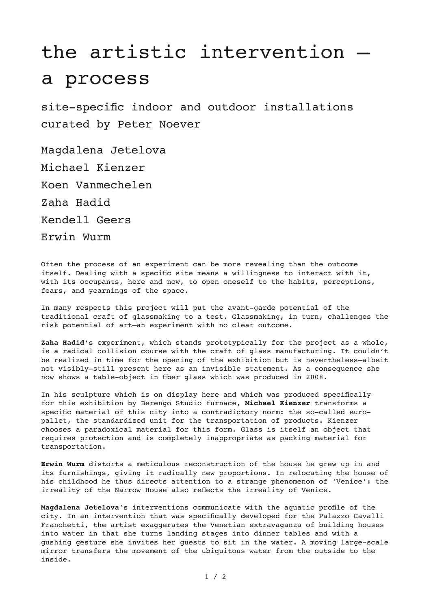## the artistic intervention – a process

site-specific indoor and outdoor installations curated by Peter Noever

Magdalena Jetelova Michael Kienzer Koen Vanmechelen Zaha Hadid Kendell Geers Erwin Wurm

Often the process of an experiment can be more revealing than the outcome itself. Dealing with a specific site means a willingness to interact with it, with its occupants, here and now, to open oneself to the habits, perceptions, fears, and yearnings of the space.

In many respects this project will put the avant-garde potential of the traditional craft of glassmaking to a test. Glassmaking, in turn, challenges the risk potential of art–an experiment with no clear outcome.

**Zaha Hadid**'s experiment, which stands prototypically for the project as a whole, is a radical collision course with the craft of glass manufacturing. It couldn't be realized in time for the opening of the exhibition but is nevertheless–albeit not visibly–still present here as an invisible statement. As a consequence she now shows a table-object in fiber glass which was produced in 2008.

In his sculpture which is on display here and which was produced specifically for this exhibition by Berengo Studio furnace, **Michael Kienzer** transforms a specific material of this city into a contradictory norm: the so-called europallet, the standardized unit for the transportation of products. Kienzer chooses a paradoxical material for this form. Glass is itself an object that requires protection and is completely inappropriate as packing material for transportation.

**Erwin Wurm** distorts a meticulous reconstruction of the house he grew up in and its furnishings, giving it radically new proportions. In relocating the house of his childhood he thus directs attention to a strange phenomenon of ʻVenice': the irreality of the Narrow House also reflects the irreality of Venice.

**Magdalena Jetelova**'s interventions communicate with the aquatic profile of the city. In an intervention that was specifically developed for the Palazzo Cavalli Franchetti, the artist exaggerates the Venetian extravaganza of building houses into water in that she turns landing stages into dinner tables and with a gushing gesture she invites her guests to sit in the water. A moving large-scale mirror transfers the movement of the ubiquitous water from the outside to the inside.